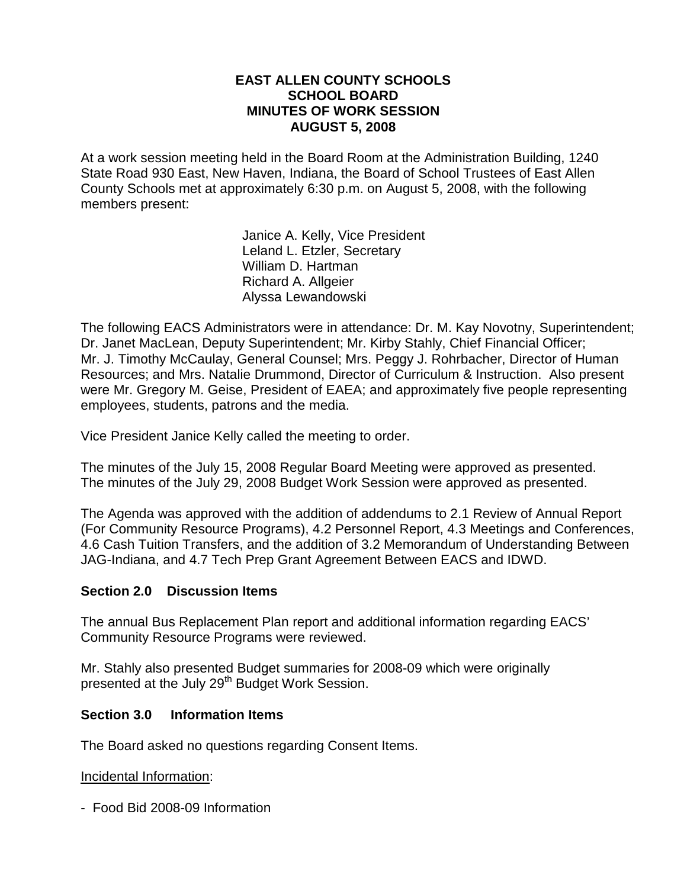## **EAST ALLEN COUNTY SCHOOLS SCHOOL BOARD MINUTES OF WORK SESSION AUGUST 5, 2008**

At a work session meeting held in the Board Room at the Administration Building, 1240 State Road 930 East, New Haven, Indiana, the Board of School Trustees of East Allen County Schools met at approximately 6:30 p.m. on August 5, 2008, with the following members present:

> Janice A. Kelly, Vice President Leland L. Etzler, Secretary William D. Hartman Richard A. Allgeier Alyssa Lewandowski

The following EACS Administrators were in attendance: Dr. M. Kay Novotny, Superintendent; Dr. Janet MacLean, Deputy Superintendent; Mr. Kirby Stahly, Chief Financial Officer; Mr. J. Timothy McCaulay, General Counsel; Mrs. Peggy J. Rohrbacher, Director of Human Resources; and Mrs. Natalie Drummond, Director of Curriculum & Instruction. Also present were Mr. Gregory M. Geise, President of EAEA; and approximately five people representing employees, students, patrons and the media.

Vice President Janice Kelly called the meeting to order.

The minutes of the July 15, 2008 Regular Board Meeting were approved as presented. The minutes of the July 29, 2008 Budget Work Session were approved as presented.

The Agenda was approved with the addition of addendums to 2.1 Review of Annual Report (For Community Resource Programs), 4.2 Personnel Report, 4.3 Meetings and Conferences, 4.6 Cash Tuition Transfers, and the addition of 3.2 Memorandum of Understanding Between JAG-Indiana, and 4.7 Tech Prep Grant Agreement Between EACS and IDWD.

## **Section 2.0 Discussion Items**

The annual Bus Replacement Plan report and additional information regarding EACS' Community Resource Programs were reviewed.

Mr. Stahly also presented Budget summaries for 2008-09 which were originally presented at the July 29<sup>th</sup> Budget Work Session.

## **Section 3.0 Information Items**

The Board asked no questions regarding Consent Items.

Incidental Information:

- Food Bid 2008-09 Information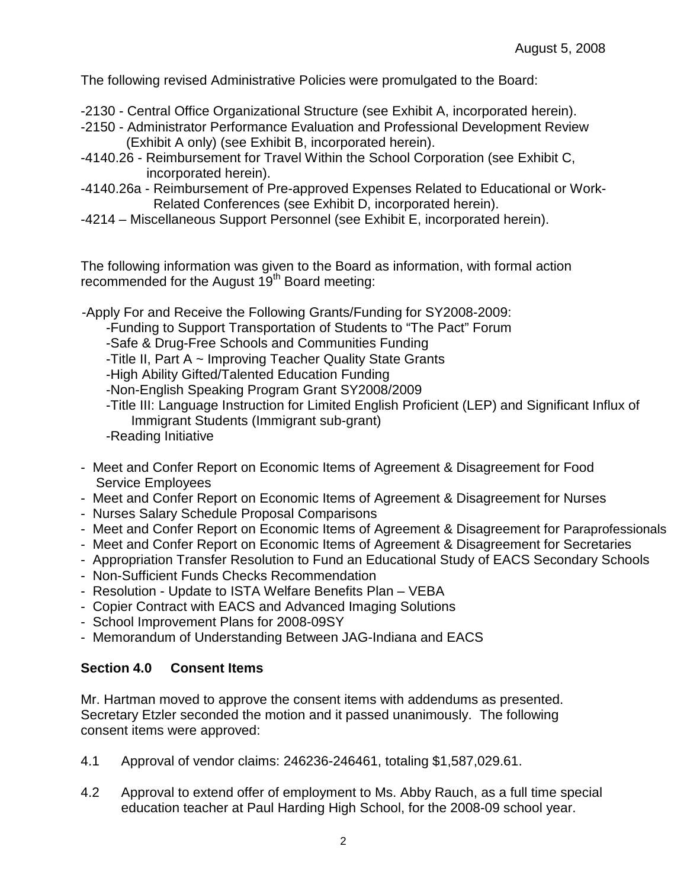The following revised Administrative Policies were promulgated to the Board:

- -2130 Central Office Organizational Structure (see Exhibit A, incorporated herein).
- -2150 Administrator Performance Evaluation and Professional Development Review (Exhibit A only) (see Exhibit B, incorporated herein).
- -4140.26 Reimbursement for Travel Within the School Corporation (see Exhibit C, incorporated herein).
- -4140.26a Reimbursement of Pre-approved Expenses Related to Educational or Work- Related Conferences (see Exhibit D, incorporated herein).
- -4214 Miscellaneous Support Personnel (see Exhibit E, incorporated herein).

The following information was given to the Board as information, with formal action recommended for the August  $19<sup>th</sup>$  Board meeting:

-Apply For and Receive the Following Grants/Funding for SY2008-2009:

- -Funding to Support Transportation of Students to "The Pact" Forum
- -Safe & Drug-Free Schools and Communities Funding
- -Title II, Part A ~ Improving Teacher Quality State Grants
- -High Ability Gifted/Talented Education Funding

-Non-English Speaking Program Grant SY2008/2009

- -Title III: Language Instruction for Limited English Proficient (LEP) and Significant Influx of Immigrant Students (Immigrant sub-grant)
- -Reading Initiative
- Meet and Confer Report on Economic Items of Agreement & Disagreement for Food Service Employees
- Meet and Confer Report on Economic Items of Agreement & Disagreement for Nurses
- Nurses Salary Schedule Proposal Comparisons
- Meet and Confer Report on Economic Items of Agreement & Disagreement for Paraprofessionals
- Meet and Confer Report on Economic Items of Agreement & Disagreement for Secretaries
- Appropriation Transfer Resolution to Fund an Educational Study of EACS Secondary Schools
- Non-Sufficient Funds Checks Recommendation
- Resolution Update to ISTA Welfare Benefits Plan VEBA
- Copier Contract with EACS and Advanced Imaging Solutions
- School Improvement Plans for 2008-09SY
- Memorandum of Understanding Between JAG-Indiana and EACS

# **Section 4.0 Consent Items**

Mr. Hartman moved to approve the consent items with addendums as presented. Secretary Etzler seconded the motion and it passed unanimously. The following consent items were approved:

- 4.1 Approval of vendor claims: 246236-246461, totaling \$1,587,029.61.
- 4.2 Approval to extend offer of employment to Ms. Abby Rauch, as a full time special education teacher at Paul Harding High School, for the 2008-09 school year.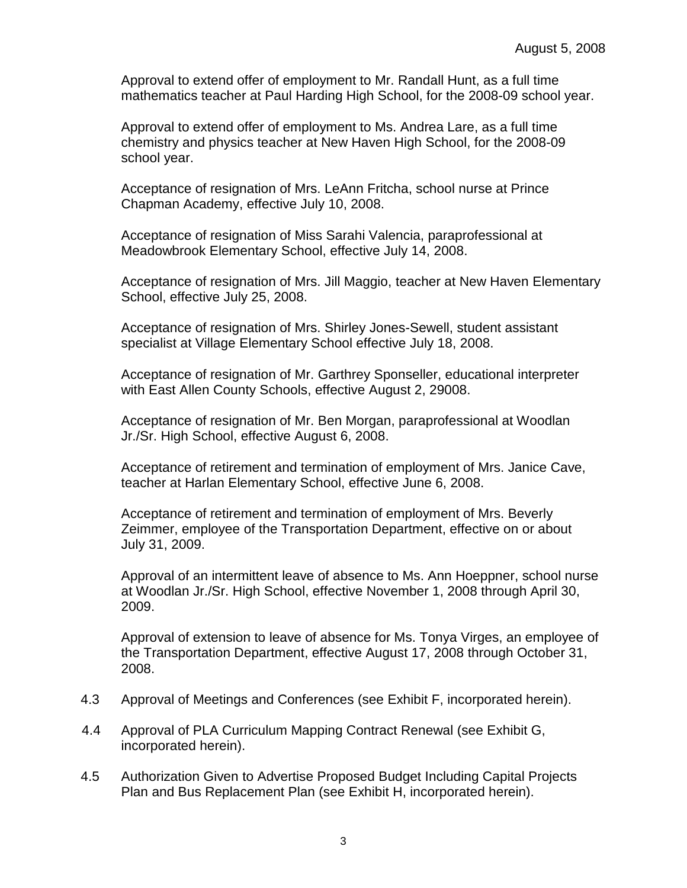Approval to extend offer of employment to Mr. Randall Hunt, as a full time mathematics teacher at Paul Harding High School, for the 2008-09 school year.

Approval to extend offer of employment to Ms. Andrea Lare, as a full time chemistry and physics teacher at New Haven High School, for the 2008-09 school year.

 Acceptance of resignation of Mrs. LeAnn Fritcha, school nurse at Prince Chapman Academy, effective July 10, 2008.

Acceptance of resignation of Miss Sarahi Valencia, paraprofessional at Meadowbrook Elementary School, effective July 14, 2008.

Acceptance of resignation of Mrs. Jill Maggio, teacher at New Haven Elementary School, effective July 25, 2008.

Acceptance of resignation of Mrs. Shirley Jones-Sewell, student assistant specialist at Village Elementary School effective July 18, 2008.

Acceptance of resignation of Mr. Garthrey Sponseller, educational interpreter with East Allen County Schools, effective August 2, 29008.

Acceptance of resignation of Mr. Ben Morgan, paraprofessional at Woodlan Jr./Sr. High School, effective August 6, 2008.

 Acceptance of retirement and termination of employment of Mrs. Janice Cave, teacher at Harlan Elementary School, effective June 6, 2008.

Acceptance of retirement and termination of employment of Mrs. Beverly Zeimmer, employee of the Transportation Department, effective on or about July 31, 2009.

 Approval of an intermittent leave of absence to Ms. Ann Hoeppner, school nurse at Woodlan Jr./Sr. High School, effective November 1, 2008 through April 30, 2009.

 Approval of extension to leave of absence for Ms. Tonya Virges, an employee of the Transportation Department, effective August 17, 2008 through October 31, 2008.

- 4.3 Approval of Meetings and Conferences (see Exhibit F, incorporated herein).
- 4.4 Approval of PLA Curriculum Mapping Contract Renewal (see Exhibit G, incorporated herein).
- 4.5 Authorization Given to Advertise Proposed Budget Including Capital Projects Plan and Bus Replacement Plan (see Exhibit H, incorporated herein).